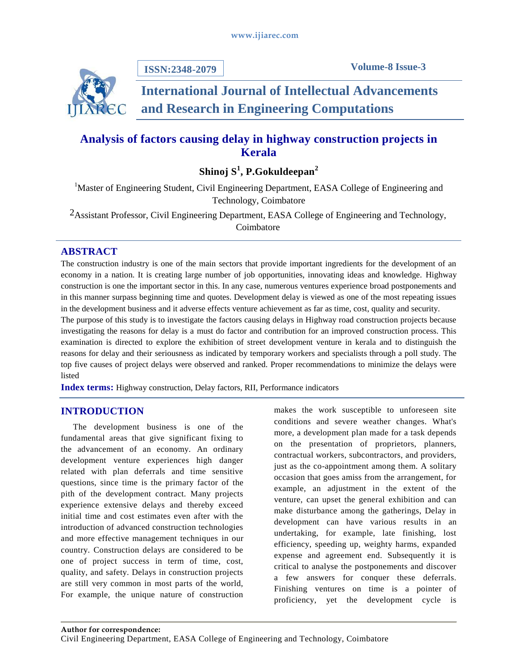

**ISSN:2348-2079**

# **International Journal of Intellectual Advancements and Research in Engineering Computations**

## **Analysis of factors causing delay in highway construction projects in Kerala**

**Shinoj S 1 , P.Gokuldeepan<sup>2</sup>**

<sup>1</sup>Master of Engineering Student, Civil Engineering Department, EASA College of Engineering and Technology, Coimbatore

2Assistant Professor, Civil Engineering Department, EASA College of Engineering and Technology, Coimbatore

## **ABSTRACT**

The construction industry is one of the main sectors that provide important ingredients for the development of an economy in a nation. It is creating large number of job opportunities, innovating ideas and knowledge. Highway construction is one the important sector in this. In any case, numerous ventures experience broad postponements and in this manner surpass beginning time and quotes. Development delay is viewed as one of the most repeating issues in the development business and it adverse effects venture achievement as far as time, cost, quality and security.

The purpose of this study is to investigate the factors causing delays in Highway road construction projects because investigating the reasons for delay is a must do factor and contribution for an improved construction process. This examination is directed to explore the exhibition of street development venture in kerala and to distinguish the reasons for delay and their seriousness as indicated by temporary workers and specialists through a poll study. The top five causes of project delays were observed and ranked. Proper recommendations to minimize the delays were listed

**Index terms:** Highway construction, Delay factors, RII, Performance indicators

## **INTRODUCTION**

The development business is one of the fundamental areas that give significant fixing to the advancement of an economy. An ordinary development venture experiences high danger related with plan deferrals and time sensitive questions, since time is the primary factor of the pith of the development contract. Many projects experience extensive delays and thereby exceed initial time and cost estimates even after with the introduction of advanced construction technologies and more effective management techniques in our country. Construction delays are considered to be one of project success in term of time, cost, quality, and safety. Delays in construction projects are still very common in most parts of the world, For example, the unique nature of construction

makes the work susceptible to unforeseen site conditions and severe weather changes. What's more, a development plan made for a task depends on the presentation of proprietors, planners, contractual workers, subcontractors, and providers, just as the co-appointment among them. A solitary occasion that goes amiss from the arrangement, for example, an adjustment in the extent of the venture, can upset the general exhibition and can make disturbance among the gatherings, Delay in development can have various results in an undertaking, for example, late finishing, lost efficiency, speeding up, weighty harms, expanded expense and agreement end. Subsequently it is critical to analyse the postponements and discover a few answers for conquer these deferrals. Finishing ventures on time is a pointer of proficiency, yet the development cycle is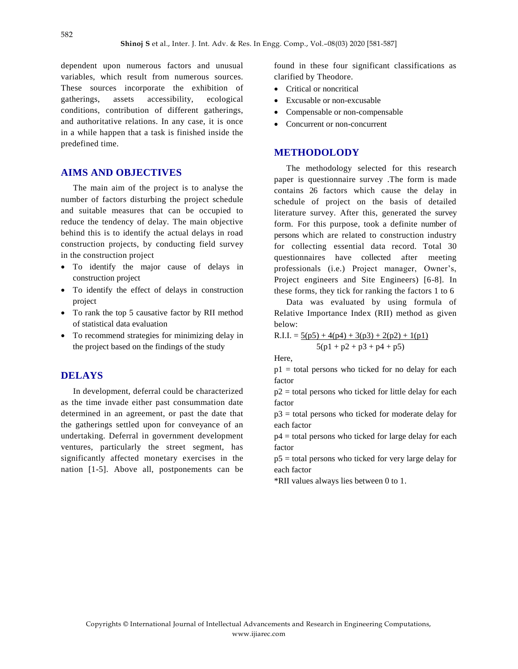dependent upon numerous factors and unusual variables, which result from numerous sources. These sources incorporate the exhibition of gatherings, assets accessibility, ecological conditions, contribution of different gatherings, and authoritative relations. In any case, it is once in a while happen that a task is finished inside the predefined time.

#### **AIMS AND OBJECTIVES**

The main aim of the project is to analyse the number of factors disturbing the project schedule and suitable measures that can be occupied to reduce the tendency of delay. The main objective behind this is to identify the actual delays in road construction projects, by conducting field survey in the construction project

- To identify the major cause of delays in construction project
- To identify the effect of delays in construction project
- To rank the top 5 causative factor by RII method of statistical data evaluation
- To recommend strategies for minimizing delay in the project based on the findings of the study

#### **DELAYS**

In development, deferral could be characterized as the time invade either past consummation date determined in an agreement, or past the date that the gatherings settled upon for conveyance of an undertaking. Deferral in government development ventures, particularly the street segment, has significantly affected monetary exercises in the nation [1-5]. Above all, postponements can be found in these four significant classifications as clarified by Theodore.

- Critical or noncritical
- Excusable or non-excusable
- Compensable or non-compensable
- Concurrent or non-concurrent

#### **METHODOLODY**

The methodology selected for this research paper is questionnaire survey .The form is made contains 26 factors which cause the delay in schedule of project on the basis of detailed literature survey. After this, generated the survey form. For this purpose, took a definite number of persons which are related to construction industry for collecting essential data record. Total 30 questionnaires have collected after meeting professionals (i.e.) Project manager, Owner's, Project engineers and Site Engineers) [6-8]. In these forms, they tick for ranking the factors 1 to 6

Data was evaluated by using formula of Relative Importance Index (RII) method as given below:

 $R.I.I. = 5(p5) + 4(p4) + 3(p3) + 2(p2) + 1(p1)$  $5(p1 + p2 + p3 + p4 + p5)$ 

Here,

 $p1$  = total persons who ticked for no delay for each factor

 $p2$  = total persons who ticked for little delay for each factor

 $p3$  = total persons who ticked for moderate delay for each factor

p4 = total persons who ticked for large delay for each factor

p5 = total persons who ticked for very large delay for each factor

\*RII values always lies between 0 to 1.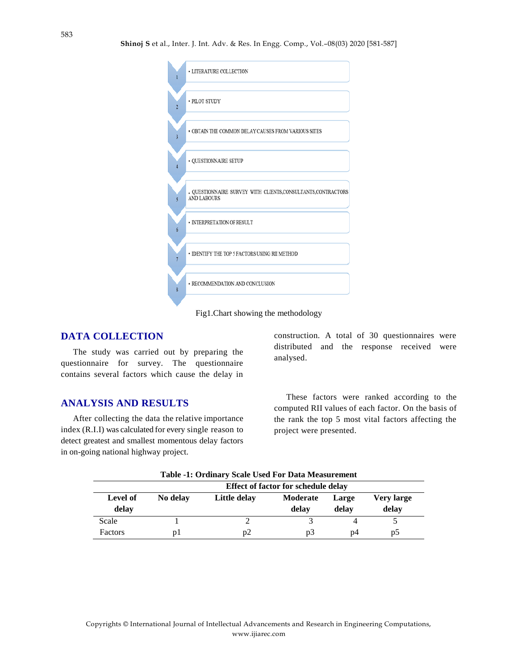|                         | • LITERATURE COLLECTION                                                             |
|-------------------------|-------------------------------------------------------------------------------------|
| $\overline{2}$          | · PILOT STUDY                                                                       |
| $\overline{\mathbf{3}}$ | • OBTAIN THE COMMON DELAY CAUSES FROM VARIOUS SITES                                 |
| $\overline{A}$          | · QUESTIONNAIRE SETUP                                                               |
| $\overline{\mathbf{5}}$ | . QUESTIONNAIRE SURVEY WITH CLIENTS, CONSULTANTS, CONTRACTORS<br><b>AND LABOURS</b> |
| 6                       | · INTERPRETATION OF RESULT                                                          |
|                         | • IDENTIFY THE TOP 5 FACTORS USING RII METHOD                                       |
| 8                       | • RECOMMENDATION AND CONCLUSION                                                     |

Fig1.Chart showing the methodology

## **DATA COLLECTION**

The study was carried out by preparing the questionnaire for survey. The questionnaire contains several factors which cause the delay in

#### **ANALYSIS AND RESULTS**

After collecting the data the relative importance index (R.I.I) was calculated for every single reason to detect greatest and smallest momentous delay factors in on-going national highway project.

construction. A total of 30 questionnaires were distributed and the response received were analysed.

These factors were ranked according to the computed RII values of each factor. On the basis of the rank the top 5 most vital factors affecting the project were presented.

| Table -1. Ordinary Scale Oscu Put Data Measurement |          |              |                   |                |                     |
|----------------------------------------------------|----------|--------------|-------------------|----------------|---------------------|
| <b>Effect of factor for schedule delay</b>         |          |              |                   |                |                     |
| Level of<br>delay                                  | No delay | Little delay | Moderate<br>delay | Large<br>delay | Very large<br>delay |
| Scale                                              |          |              |                   |                |                     |
| <b>Factors</b>                                     | DΙ       | D2           | D3                | p4             | D5                  |

**Table -1: Ordinary Scale Used For Data Measurement**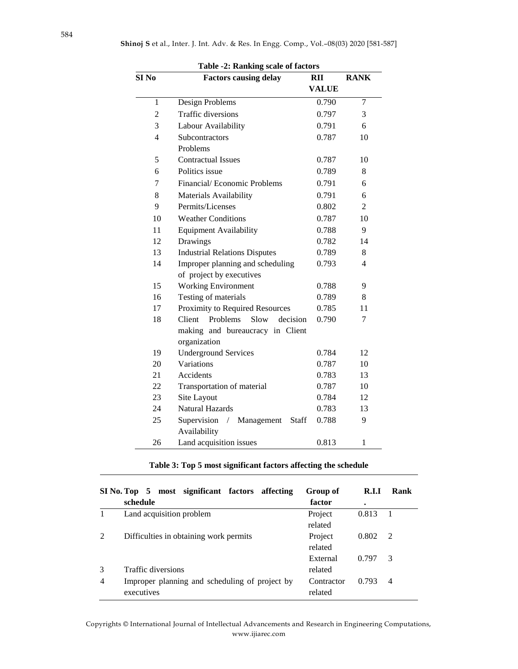| SI <sub>No</sub> | <b>Factors causing delay</b>                                     | RII          | <b>RANK</b>    |
|------------------|------------------------------------------------------------------|--------------|----------------|
|                  |                                                                  | <b>VALUE</b> |                |
| 1                | Design Problems                                                  | 0.790        | $\overline{7}$ |
| $\overline{2}$   | Traffic diversions                                               | 0.797        | 3              |
| 3                | Labour Availability                                              | 0.791        | 6              |
| 4                | Subcontractors                                                   | 0.787        | 10             |
|                  | Problems                                                         |              |                |
| 5                | <b>Contractual Issues</b>                                        | 0.787        | 10             |
| 6                | Politics issue                                                   | 0.789        | 8              |
| 7                | Financial/Economic Problems                                      | 0.791        | 6              |
| 8                | Materials Availability                                           | 0.791        | 6              |
| 9                | Permits/Licenses                                                 | 0.802        | 2              |
| 10               | <b>Weather Conditions</b>                                        | 0.787        | 10             |
| 11               | <b>Equipment Availability</b>                                    | 0.788        | 9              |
| 12               | Drawings                                                         | 0.782        | 14             |
| 13               | <b>Industrial Relations Disputes</b>                             | 0.789        | 8              |
| 14               | Improper planning and scheduling                                 | 0.793        | $\overline{4}$ |
|                  | of project by executives                                         |              |                |
| 15               | <b>Working Environment</b>                                       | 0.788        | 9              |
| 16               | Testing of materials                                             | 0.789        | 8              |
| 17               | Proximity to Required Resources                                  | 0.785        | 11             |
| 18               | Problems<br>Slow<br>Client<br>decision                           | 0.790        | 7              |
|                  | making and bureaucracy in Client                                 |              |                |
|                  | organization                                                     |              |                |
| 19               | <b>Underground Services</b>                                      | 0.784        | 12             |
| 20               | Variations                                                       | 0.787        | 10             |
| 21               | Accidents                                                        | 0.783        | 13             |
| 22               | Transportation of material                                       | 0.787        | 10             |
| 23               | Site Layout                                                      | 0.784        | 12             |
| 24               | <b>Natural Hazards</b>                                           | 0.783        | 13             |
| 25               | Supervision<br>$\sqrt{2}$<br>Management<br>Staff<br>Availability | 0.788        | 9              |
| 26               | Land acquisition issues                                          | 0.813        | $\mathbf{1}$   |

**Table 3: Top 5 most significant factors affecting the schedule**

|   | SI No. Top 5 most significant factors affecting | Group of   | R.I.I | Rank           |
|---|-------------------------------------------------|------------|-------|----------------|
|   | schedule                                        | factor     | ٠     |                |
|   | Land acquisition problem                        | Project    | 0.813 |                |
|   |                                                 | related    |       |                |
|   | Difficulties in obtaining work permits          | Project    | 0.802 | $\mathcal{D}$  |
|   |                                                 | related    |       |                |
|   |                                                 | External   | 0.797 | 3              |
|   | Traffic diversions                              | related    |       |                |
| 4 | Improper planning and scheduling of project by  | Contractor | 0.793 | $\overline{4}$ |
|   | executives                                      | related    |       |                |

Copyrights © International Journal of Intellectual Advancements and Research in Engineering Computations, www.ijiarec.com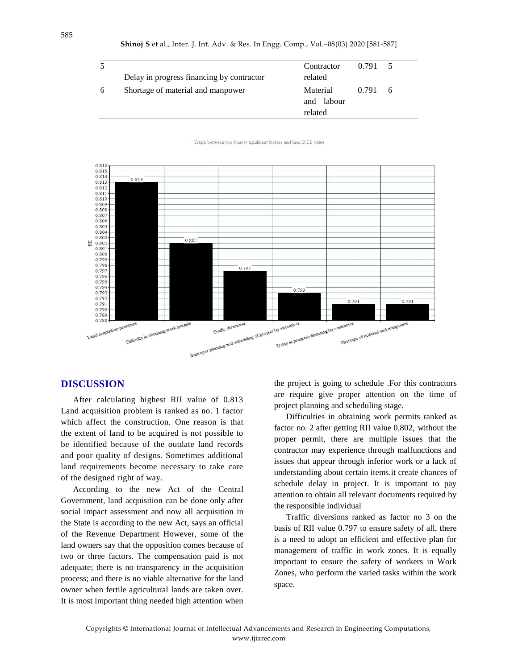|   |                                           | Contractor                        | $0.791 \quad 5$ |    |
|---|-------------------------------------------|-----------------------------------|-----------------|----|
|   | Delay in progress financing by contractor | related                           |                 |    |
| 6 | Shortage of material and manpower         | Material<br>and labour<br>related | 0.791           | -6 |

Graph between top  $6$  most significant factors and their  $\operatorname{RIL}$  value



#### **DISCUSSION**

After calculating highest RII value of 0.813 Land acquisition problem is ranked as no. 1 factor which affect the construction. One reason is that the extent of land to be acquired is not possible to be identified because of the outdate land records and poor quality of designs. Sometimes additional land requirements become necessary to take care of the designed right of way.

According to the new Act of the Central Government, land acquisition can be done only after social impact assessment and now all acquisition in the State is according to the new Act, says an official of the Revenue Department However, some of the land owners say that the opposition comes because of two or three factors. The compensation paid is not adequate; there is no transparency in the acquisition process; and there is no viable alternative for the land owner when fertile agricultural lands are taken over. It is most important thing needed high attention when

the project is going to schedule .For this contractors are require give proper attention on the time of project planning and scheduling stage.

Difficulties in obtaining work permits ranked as factor no. 2 after getting RII value 0.802, without the proper permit, there are multiple issues that the contractor may experience through malfunctions and issues that appear through inferior work or a lack of understanding about certain items.it create chances of schedule delay in project. It is important to pay attention to obtain all relevant documents required by the responsible individual

Traffic diversions ranked as factor no 3 on the basis of RII value 0.797 to ensure safety of all, there is a need to adopt an efficient and effective plan for management of traffic in work zones. It is equally important to ensure the safety of workers in Work Zones, who perform the varied tasks within the work space.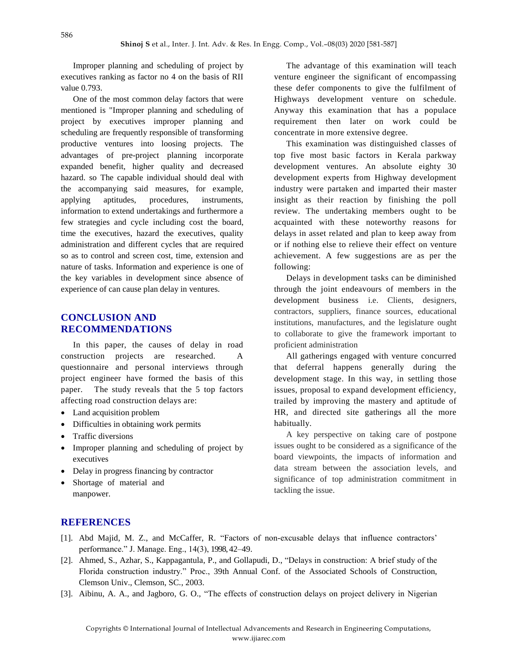Improper planning and scheduling of project by executives ranking as factor no 4 on the basis of RII value 0.793.

One of the most common delay factors that were mentioned is "Improper planning and scheduling of project by executives improper planning and scheduling are frequently responsible of transforming productive ventures into loosing projects. The advantages of pre-project planning incorporate expanded benefit, higher quality and decreased hazard. so The capable individual should deal with the accompanying said measures, for example, applying aptitudes, procedures, instruments, information to extend undertakings and furthermore a few strategies and cycle including cost the board, time the executives, hazard the executives, quality administration and different cycles that are required so as to control and screen cost, time, extension and nature of tasks. Information and experience is one of the key variables in development since absence of experience of can cause plan delay in ventures.

### **CONCLUSION AND RECOMMENDATIONS**

In this paper, the causes of delay in road construction projects are researched. A questionnaire and personal interviews through project engineer have formed the basis of this paper. The study reveals that the 5 top factors affecting road construction delays are:

- Land acquisition problem
- Difficulties in obtaining work permits
- Traffic diversions
- Improper planning and scheduling of project by executives
- Delay in progress financing by contractor
- Shortage of material and manpower.

The advantage of this examination will teach venture engineer the significant of encompassing these defer components to give the fulfilment of Highways development venture on schedule. Anyway this examination that has a populace requirement then later on work could be concentrate in more extensive degree.

This examination was distinguished classes of top five most basic factors in Kerala parkway development ventures. An absolute eighty 30 development experts from Highway development industry were partaken and imparted their master insight as their reaction by finishing the poll review. The undertaking members ought to be acquainted with these noteworthy reasons for delays in asset related and plan to keep away from or if nothing else to relieve their effect on venture achievement. A few suggestions are as per the following:

Delays in development tasks can be diminished through the joint endeavours of members in the development business i.e. Clients, designers, contractors, suppliers, finance sources, educational institutions, manufactures, and the legislature ought to collaborate to give the framework important to proficient administration

All gatherings engaged with venture concurred that deferral happens generally during the development stage. In this way, in settling those issues, proposal to expand development efficiency, trailed by improving the mastery and aptitude of HR, and directed site gatherings all the more habitually.

A key perspective on taking care of postpone issues ought to be considered as a significance of the board viewpoints, the impacts of information and data stream between the association levels, and significance of top administration commitment in tackling the issue.

#### **REFERENCES**

- [1]. Abd Majid, M. Z., and McCaffer, R. "Factors of non-excusable delays that influence contractors' performance." J. Manage. Eng., 14(3), 1998, 42–49.
- [2]. Ahmed, S., Azhar, S., Kappagantula, P., and Gollapudi, D., "Delays in construction: A brief study of the Florida construction industry." Proc., 39th Annual Conf. of the Associated Schools of Construction, Clemson Univ., Clemson, SC., 2003.
- [3]. Aibinu, A. A., and Jagboro, G. O., "The effects of construction delays on project delivery in Nigerian